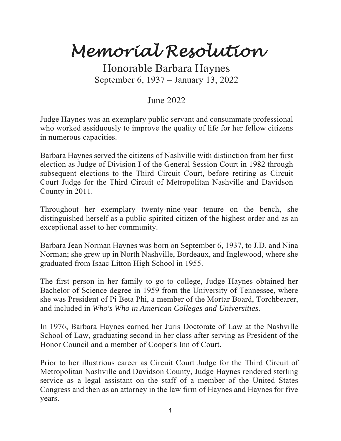## *Memorial Resolution*

Honorable Barbara Haynes September 6, 1937 – January 13, 2022

## June 2022

Judge Haynes was an exemplary public servant and consummate professional who worked assiduously to improve the quality of life for her fellow citizens in numerous capacities.

Barbara Haynes served the citizens of Nashville with distinction from her first election as Judge of Division I of the General Session Court in 1982 through subsequent elections to the Third Circuit Court, before retiring as Circuit Court Judge for the Third Circuit of Metropolitan Nashville and Davidson County in 2011.

Throughout her exemplary twenty-nine-year tenure on the bench, she distinguished herself as a public-spirited citizen of the highest order and as an exceptional asset to her community.

Barbara Jean Norman Haynes was born on September 6, 1937, to J.D. and Nina Norman; she grew up in North Nashville, Bordeaux, and Inglewood, where she graduated from Isaac Litton High School in 1955.

The first person in her family to go to college, Judge Haynes obtained her Bachelor of Science degree in 1959 from the University of Tennessee, where she was President of Pi Beta Phi, a member of the Mortar Board, Torchbearer, and included in *Who's Who in American Colleges and Universities.* 

In 1976, Barbara Haynes earned her Juris Doctorate of Law at the Nashville School of Law, graduating second in her class after serving as President of the Honor Council and a member of Cooper's Inn of Court.

Prior to her illustrious career as Circuit Court Judge for the Third Circuit of Metropolitan Nashville and Davidson County, Judge Haynes rendered sterling service as a legal assistant on the staff of a member of the United States Congress and then as an attorney in the law firm of Haynes and Haynes for five years.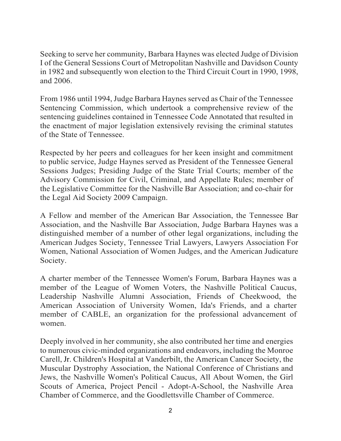Seeking to serve her community, Barbara Haynes was elected Judge of Division I of the General Sessions Court of Metropolitan Nashville and Davidson County in 1982 and subsequently won election to the Third Circuit Court in 1990, 1998, and 2006.

From 1986 until 1994, Judge Barbara Haynes served as Chair of the Tennessee Sentencing Commission, which undertook a comprehensive review of the sentencing guidelines contained in Tennessee Code Annotated that resulted in the enactment of major legislation extensively revising the criminal statutes of the State of Tennessee.

Respected by her peers and colleagues for her keen insight and commitment to public service, Judge Haynes served as President of the Tennessee General Sessions Judges; Presiding Judge of the State Trial Courts; member of the Advisory Commission for Civil, Criminal, and Appellate Rules; member of the Legislative Committee for the Nashville Bar Association; and co-chair for the Legal Aid Society 2009 Campaign.

A Fellow and member of the American Bar Association, the Tennessee Bar Association, and the Nashville Bar Association, Judge Barbara Haynes was a distinguished member of a number of other legal organizations, including the American Judges Society, Tennessee Trial Lawyers, Lawyers Association For Women, National Association of Women Judges, and the American Judicature Society.

A charter member of the Tennessee Women's Forum, Barbara Haynes was a member of the League of Women Voters, the Nashville Political Caucus, Leadership Nashville Alumni Association, Friends of Cheekwood, the American Association of University Women, Ida's Friends, and a charter member of CABLE, an organization for the professional advancement of women.

Deeply involved in her community, she also contributed her time and energies to numerous civic-minded organizations and endeavors, including the Monroe Carell, Jr. Children's Hospital at Vanderbilt, the American Cancer Society, the Muscular Dystrophy Association, the National Conference of Christians and Jews, the Nashville Women's Political Caucus, All About Women, the Girl Scouts of America, Project Pencil - Adopt-A-School, the Nashville Area Chamber of Commerce, and the Goodlettsville Chamber of Commerce.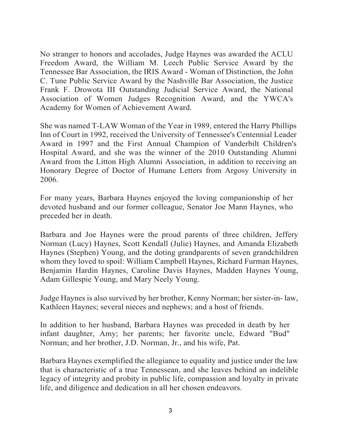No stranger to honors and accolades, Judge Haynes was awarded the ACLU Freedom Award, the William M. Leech Public Service Award by the Tennessee Bar Association, the IRIS Award - Woman of Distinction, the John C. Tune Public Service Award by the Nashville Bar Association, the Justice Frank F. Drowota III Outstanding Judicial Service Award, the National Association of Women Judges Recognition Award, and the YWCA's Academy for Women of Achievement Award.

She was named T-LAW Woman of the Year in 1989, entered the Harry Phillips Inn of Court in 1992, received the University of Tennessee's Centennial Leader Award in 1997 and the First Annual Champion of Vanderbilt Children's Hospital Award, and she was the winner of the 2010 Outstanding Alumni Award from the Litton High Alumni Association, in addition to receiving an Honorary Degree of Doctor of Humane Letters from Argosy University in 2006.

For many years, Barbara Haynes enjoyed the loving companionship of her devoted husband and our former colleague, Senator Joe Mann Haynes, who preceded her in death.

Barbara and Joe Haynes were the proud parents of three children, Jeffery Norman (Lucy) Haynes, Scott Kendall (Julie) Haynes, and Amanda Elizabeth Haynes (Stephen) Young, and the doting grandparents of seven grandchildren whom they loved to spoil: William Campbell Haynes, Richard Furman Haynes, Benjamin Hardin Haynes, Caroline Davis Haynes, Madden Haynes Young, Adam Gillespie Young, and Mary Neely Young.

Judge Haynes is also survived by her brother, Kenny Norman; her sister-in- law, Kathleen Haynes; several nieces and nephews; and a host of friends.

In addition to her husband, Barbara Haynes was preceded in death by her infant daughter, Amy; her parents; her favorite uncle, Edward "Bud" Norman; and her brother, J.D. Norman, Jr., and his wife, Pat.

Barbara Haynes exemplified the allegiance to equality and justice under the law that is characteristic of a true Tennessean, and she leaves behind an indelible legacy of integrity and probity in public life, compassion and loyalty in private life, and diligence and dedication in all her chosen endeavors.